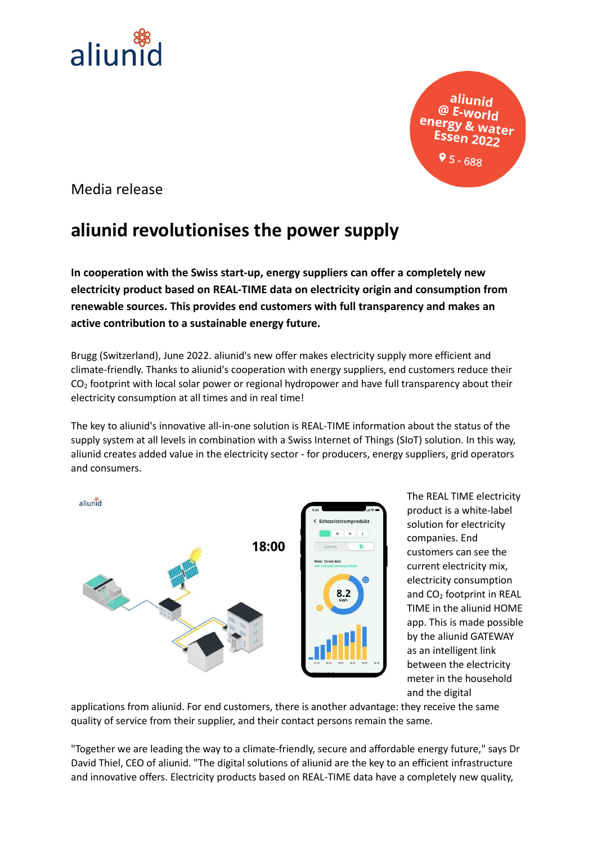

aliunid Water 9 ל - 68

Media release

## **aliunid revolutionises the power supply**

**In cooperation with the Swiss start-up, energy suppliers can offer a completely new electricity product based on REAL-TIME data on electricity origin and consumption from renewable sources. This provides end customers with full transparency and makes an active contribution to a sustainable energy future.**

Brugg (Switzerland), June 2022. aliunid's new offer makes electricity supply more efficient and climate-friendly. Thanks to aliunid's cooperation with energy suppliers, end customers reduce their  $CO<sub>2</sub>$  footprint with local solar power or regional hydropower and have full transparency about their electricity consumption at all times and in real time!

The key to aliunid's innovative all-in-one solution is REAL-TIME information about the status of the supply system at all levels in combination with a Swiss Internet of Things (SIoT) solution. In this way, aliunid creates added value in the electricity sector - for producers, energy suppliers, grid operators and consumers.



The REAL TIME electricity product is a white-label solution for electricity companies. End customers can see the current electricity mix, electricity consumption and  $CO<sub>2</sub>$  footprint in REAL TIME in the aliunid HOME app. This is made possible by the aliunid GATEWAY as an intelligent link between the electricity meter in the household and the digital

applications from aliunid. For end customers, there is another advantage: they receive the same quality of service from their supplier, and their contact persons remain the same.

"Together we are leading the way to a climate-friendly, secure and affordable energy future," says Dr David Thiel, CEO of aliunid. "The digital solutions of aliunid are the key to an efficient infrastructure and innovative offers. Electricity products based on REAL-TIME data have a completely new quality,